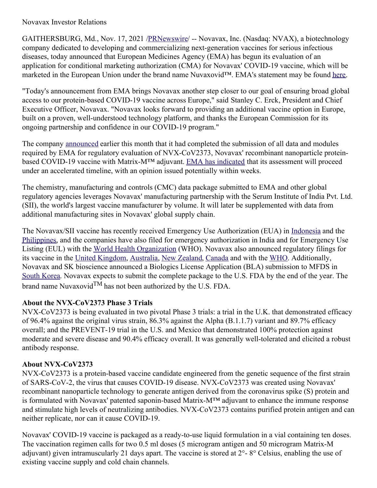## Novavax Investor Relations

GAITHERSBURG, Md., Nov. 17, 2021 [/PRNewswire](http://www.prnewswire.com/)/ -- Novavax, Inc. (Nasdaq: NVAX), a biotechnology company dedicated to developing and commercializing next-generation vaccines for serious infectious diseases, today announced that European Medicines Agency (EMA) has begun its evaluation of an application for conditional marketing authorization (CMA) for Novavax' COVID-19 vaccine, which will be marketed in the European Union under the brand name Nuvaxovid™. EMA's statement may be found [here](https://c212.net/c/link/?t=0&l=en&o=3362763-1&h=792350174&u=https%3A%2F%2Fwww.ema.europa.eu%2Fen%2Fnews%2Fema-receives-application-conditional-marketing-authorisation-novavaxs-covid-19-vaccine-nuvaxovid&a=here).

"Today's announcement from EMA brings Novavax another step closer to our goal of ensuring broad global access to our protein-based COVID-19 vaccine across Europe," said Stanley C. Erck, President and Chief Executive Officer, Novavax. "Novavax looks forward to providing an additional vaccine option in Europe, built on a proven, well-understood technology platform, and thanks the European Commission for its ongoing partnership and confidence in our COVID-19 program."

The company [announced](https://c212.net/c/link/?t=0&l=en&o=3362763-1&h=3735753841&u=https%3A%2F%2Fir.novavax.com%2F2021-11-01-Novavax-Files-for-COVID-19-Vaccine-Authorization-with-Health-Canada-and-Completes-Submission-for-Rolling-Review-to-European-Medicines-Agency&a=announced) earlier this month that it had completed the submission of all data and modules required by EMA for regulatory evaluation of NVX-CoV2373, Novavax' recombinant nanoparticle proteinbased COVID-19 vaccine with Matrix-M™ adjuvant. EMA has [indicated](https://c212.net/c/link/?t=0&l=en&o=3362763-1&h=193610425&u=https%3A%2F%2Fwww.ema.europa.eu%2Fen%2Fnews%2Fema-receives-application-conditional-marketing-authorisation-novavaxs-covid-19-vaccine-nuvaxovid&a=EMA+has+indicated) that its assessment will proceed under an accelerated timeline, with an opinion issued potentially within weeks.

The chemistry, manufacturing and controls (CMC) data package submitted to EMA and other global regulatory agencies leverages Novavax' manufacturing partnership with the Serum Institute of India Pvt. Ltd. (SII), the world's largest vaccine manufacturer by volume. It will later be supplemented with data from additional manufacturing sites in Novavax' global supply chain.

The Novavax/SII vaccine has recently received Emergency Use Authorization (EUA) in [Indonesia](https://c212.net/c/link/?t=0&l=en&o=3362763-1&h=3423756820&u=https%3A%2F%2Fir.novavax.com%2F2021-11-01-Novavax-and-Serum-Institute-of-India-Receive-Emergency-Use-Authorization-for-COVID-19-Vaccine-in-Indonesia&a=Indonesia) and the [Philippines](https://c212.net/c/link/?t=0&l=en&o=3362763-1&h=2975356756&u=https%3A%2F%2Fir.novavax.com%2F2021-11-17-Novavax-and-Serum-Institute-of-India-Receive-Emergency-Use-Authorization-for-COVID-19-Vaccine-in-the-Philippines&a=Philippines), and the companies have also filed for emergency authorization in India and for Emergency Use Listing (EUL) with the World Health [Organization](https://c212.net/c/link/?t=0&l=en&o=3362763-1&h=1111037274&u=https%3A%2F%2Fir.novavax.com%2F2021-09-23-Novavax-and-Serum-Institute-of-India-Announce-Submission-to-World-Health-Organization-for-Emergency-Use-Listing-of-Novavax-COVID-19-Vaccine&a=World+Health+Organization) (WHO). Novavax also announced regulatory filings for its vaccine in the United [Kingdom](https://c212.net/c/link/?t=0&l=en&o=3362763-1&h=4271304883&u=https%3A%2F%2Fir.novavax.com%2F2021-10-27-Novavax-Files-for-Authorization-of-its-COVID-19-Vaccine-in-the-United-Kingdom&a=United+Kingdom), [Australia](https://c212.net/c/link/?t=0&l=en&o=3362763-1&h=2847977980&u=https%3A%2F%2Fir.novavax.com%2F2021-10-29-Novavax-Files-for-Provisional-Approval-of-its-COVID-19-Vaccine-in-Australia&a=Australia), New [Zealand](https://c212.net/c/link/?t=0&l=en&o=3362763-1&h=2146291065&u=https%3A%2F%2Fir.novavax.com%2F2021-11-03-Novavax-Files-COVID-19-Vaccine-for-Provisional-Approval-in-New-Zealand&a=New+Zealand), [Canada](https://c212.net/c/link/?t=0&l=en&o=3362763-1&h=2249194863&u=https%3A%2F%2Fir.novavax.com%2F2021-11-01-Novavax-Files-for-COVID-19-Vaccine-Authorization-with-Health-Canada-and-Completes-Submission-for-Rolling-Review-to-European-Medicines-Agency&a=Canada) and with the [WHO](https://c212.net/c/link/?t=0&l=en&o=3362763-1&h=3469386265&u=https%3A%2F%2Fir.novavax.com%2F2021-11-04-Novavax-Files-COVID-19-Vaccine-for-Emergency-Use-Listing-with-World-Health-Organization&a=WHO). Additionally, Novavax and SK bioscience announced a Biologics License Application (BLA) submission to MFDS in South [Korea](https://c212.net/c/link/?t=0&l=en&o=3362763-1&h=4072734029&u=https%3A%2F%2Fir.novavax.com%2F2021-11-15-Novavax-Announces-Submission-of-Biologics-License-Application-in-South-Korea-for-Approval-of-NVX-CoV2373&a=South+Korea). Novavax expects to submit the complete package to the U.S. FDA by the end of the year. The brand name Nuvaxovid<sup>TM</sup> has not been authorized by the U.S. FDA.

# **About the NVX-CoV2373 Phase 3 Trials**

NVX-CoV2373 is being evaluated in two pivotal Phase 3 trials: a trial in the U.K. that demonstrated efficacy of 96.4% against the original virus strain, 86.3% against the Alpha (B.1.1.7) variant and 89.7% efficacy overall; and the PREVENT-19 trial in the U.S. and Mexico that demonstrated 100% protection against moderate and severe disease and 90.4% efficacy overall. It was generally well-tolerated and elicited a robust antibody response.

# **About NVX-CoV2373**

NVX-CoV2373 is a protein-based vaccine candidate engineered from the genetic sequence of the first strain of SARS-CoV-2, the virus that causes COVID-19 disease. NVX-CoV2373 was created using Novavax' recombinant nanoparticle technology to generate antigen derived from the coronavirus spike (S) protein and is formulated with Novavax' patented saponin-based Matrix-M™ adjuvant to enhance the immune response and stimulate high levels of neutralizing antibodies. NVX-CoV2373 contains purified protein antigen and can neither replicate, nor can it cause COVID-19.

Novavax' COVID-19 vaccine is packaged as a ready-to-use liquid formulation in a vial containing ten doses. The vaccination regimen calls for two 0.5 ml doses (5 microgram antigen and 50 microgram Matrix-M adjuvant) given intramuscularly 21 days apart. The vaccine is stored at 2°- 8° Celsius, enabling the use of existing vaccine supply and cold chain channels.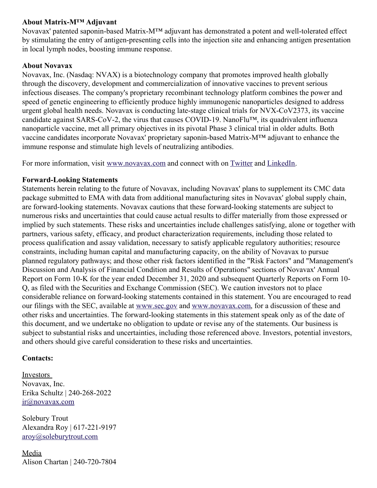# **About Matrix-M™ Adjuvant**

Novavax' patented saponin-based Matrix-M™ adjuvant has demonstrated a potent and well-tolerated effect by stimulating the entry of antigen-presenting cells into the injection site and enhancing antigen presentation in local lymph nodes, boosting immune response.

### **About Novavax**

Novavax, Inc. (Nasdaq: NVAX) is a biotechnology company that promotes improved health globally through the discovery, development and commercialization of innovative vaccines to prevent serious infectious diseases. The company's proprietary recombinant technology platform combines the power and speed of genetic engineering to efficiently produce highly immunogenic nanoparticles designed to address urgent global health needs. Novavax is conducting late-stage clinical trials for NVX-CoV2373, its vaccine candidate against SARS-CoV-2, the virus that causes COVID-19. NanoFlu™, its quadrivalent influenza nanoparticle vaccine, met all primary objectives in its pivotal Phase 3 clinical trial in older adults. Both vaccine candidates incorporate Novavax' proprietary saponin-based Matrix-M™ adjuvant to enhance the immune response and stimulate high levels of neutralizing antibodies.

For more information, visit [www.novavax.com](https://c212.net/c/link/?t=0&l=en&o=3362763-1&h=102015265&u=http%3A%2F%2Fwww.novavax.com%2F&a=www.novavax.com) and connect with on [Twitter](https://c212.net/c/link/?t=0&l=en&o=3362763-1&h=75199927&u=https%3A%2F%2Fc212.net%2Fc%2Flink%2F%3Ft%3D0%26l%3Den%26o%3D3348079-1%26h%3D3640852501%26u%3Dhttps%253A%252F%252Fc212.net%252Fc%252Flink%252F%253Ft%253D0%2526l%253Den%2526o%253D3260461-1%2526h%253D1316526774%2526u%253Dhttps%25253A%25252F%25252Fc212.net%25252Fc%25252Flink%25252F%25253Ft%25253D0%252526l%25253Den%252526o%25253D3158017-1%252526h%25253D500821283%252526u%25253Dhttps%2525253A%2525252F%2525252Ftwitter.com%2525252FNovavax%252526a%25253DTwitter%2526a%253DTwitter%26a%3DTwitter&a=Twitter) and [LinkedIn](https://c212.net/c/link/?t=0&l=en&o=3362763-1&h=3394137247&u=https%3A%2F%2Fc212.net%2Fc%2Flink%2F%3Ft%3D0%26l%3Den%26o%3D3348079-1%26h%3D2701640386%26u%3Dhttps%253A%252F%252Fc212.net%252Fc%252Flink%252F%253Ft%253D0%2526l%253Den%2526o%253D3260461-1%2526h%253D1508558197%2526u%253Dhttps%25253A%25252F%25252Fc212.net%25252Fc%25252Flink%25252F%25253Ft%25253D0%252526l%25253Den%252526o%25253D3158017-1%252526h%25253D3702938248%252526u%25253Dhttps%2525253A%2525252F%2525252Fwww.linkedin.com%2525252Fcompany%2525252Fnovavax%2525252F%252526a%25253DLinkedIn%2526a%253DLinkedIn%26a%3DLinkedIn&a=LinkedIn).

## **Forward-Looking Statements**

Statements herein relating to the future of Novavax, including Novavax' plans to supplement its CMC data package submitted to EMA with data from additional manufacturing sites in Novavax' global supply chain, are forward-looking statements. Novavax cautions that these forward-looking statements are subject to numerous risks and uncertainties that could cause actual results to differ materially from those expressed or implied by such statements. These risks and uncertainties include challenges satisfying, alone or together with partners, various safety, efficacy, and product characterization requirements, including those related to process qualification and assay validation, necessary to satisfy applicable regulatory authorities; resource constraints, including human capital and manufacturing capacity, on the ability of Novavax to pursue planned regulatory pathways; and those other risk factors identified in the "Risk Factors" and "Management's Discussion and Analysis of Financial Condition and Results of Operations" sections of Novavax' Annual Report on Form 10-K for the year ended December 31, 2020 and subsequent Quarterly Reports on Form 10- Q, as filed with the Securities and Exchange Commission (SEC). We caution investors not to place considerable reliance on forward-looking statements contained in this statement. You are encouraged to read our filings with the SEC, available at [www.sec.gov](https://c212.net/c/link/?t=0&l=en&o=3362763-1&h=2069609564&u=https%3A%2F%2Fc212.net%2Fc%2Flink%2F%3Ft%3D0%26l%3Den%26o%3D3348079-1%26h%3D2112259080%26u%3Dhttp%253A%252F%252Fwww.sec.gov%252F%26a%3Dwww.sec.gov&a=www.sec.gov) and [www.novavax.com](https://c212.net/c/link/?t=0&l=en&o=3362763-1&h=3385442126&u=https%3A%2F%2Fc212.net%2Fc%2Flink%2F%3Ft%3D0%26l%3Den%26o%3D3348079-1%26h%3D2027739288%26u%3Dhttp%253A%252F%252Fwww.novavax.com%252F%26a%3Dwww.novavax.com&a=www.novavax.com), for a discussion of these and other risks and uncertainties. The forward-looking statements in this statement speak only as of the date of this document, and we undertake no obligation to update or revise any of the statements. Our business is subject to substantial risks and uncertainties, including those referenced above. Investors, potential investors, and others should give careful consideration to these risks and uncertainties.

#### **Contacts:**

Investors Novavax, Inc. Erika Schultz | 240-268-2022 [ir@novavax.com](mailto:ir@novavax.com)

Solebury Trout Alexandra Roy | 617-221-9197 [aroy@soleburytrout.com](mailto:aroy@soleburytrout.com)

Media Alison Chartan | 240-720-7804